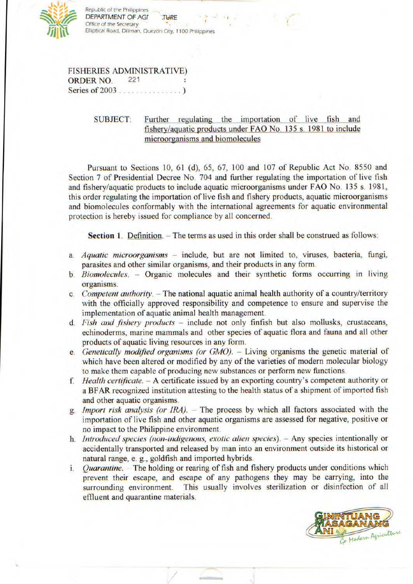

Republic of the Philippines DEPARTMENT OF AGF .TURE Office of the Secretary Elliptical Road, Diliman, Quezon City, 1100 Philippines

FISHERIES ADMINISTRATIVE) ORDER NO. 221 Series of 2003 ............

> SUBJECT: Further regulating the importation of live fish and fishery/aquatic products under FAO No. 135 s. 1981 to include microorganisms and biomolecules

Pursuant to Sections 10, 61(d), *65, 67,* 100 and 107 of Republic Act No. 8550 and Section 7 of Presidential Decree No. 704 and further regulating the importation of live fish and fishery/aquatic products to include aquatic microorganisms under FAO No. 135 s. 1981, this order regulating the importation of live fish and fishery products, aquatic microorganisms and biomolecules conformably with the international agreements for aquatic environmental protection is hereby issued for compliance by all concerned.

**Section 1.** Definition. - The terms as used in this order shall be construed as follows:

- *a. Aquatic microorganisms* include, but are not limited to, viruses, bacteria, fungi, parasites and other similar organisms, and their products in any form.
- *b. Biomolecuies.* Organic molecules and their synthetic forms occurring in living organisms.
- *c. Competent authority.* The national aquatic animal health authority of a country/territory with the officially approved responsibility and competence to ensure and supervise the implementation of aquatic animal health management.
- *d. Fish and fishery products* include not only finfish but also mollusks, crustaceans, echinoderms, marine mammals and other species of aquatic flora and fauna and all other products of aquatic living resources in any form.
- e. *Genetically modified organisms (or GMO).* Living organisms the genetic material of which have been altered or modified by any of the varieties of modern molecular biology to make them capable of producing new substances or perform new functions.
- *f. Health certificate.* A certificate issued by an exporting country's competent authority or a BFAR recognized institution attesting to the health status of a shipment of imported fish and other aquatic organisms.
- *g. Import risk analysis (or IRA).* The process by which all factors associated with the importation of live fish and other aquatic organisms are assessed for negative, positive or no impact to the Philippine environment.
- h. *Introduced species (non-indigenous, exotic alien species).* Any species intentionally or accidentally transported and released by man into an environment outside its historical or natural range, e. g., goldfish and imported hybrids.
- *i. Quarantine.* The holding or rearing of fish and fishery products under conditions which prevent their escape, and escape of any pathogens they may be carrying, into the surrounding environment. This usually involves sterilization or disinfection of all effluent and quarantine materials.

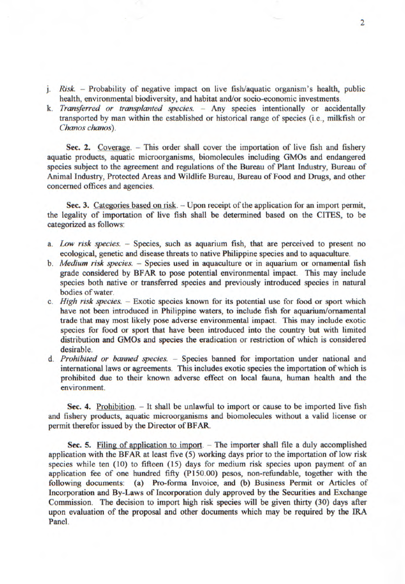- *j. Risk.* Probability of negative impact on live fish/aquatic organism's health, public health, environmental biodiversity, and habitat and/or socio-economic investments.
- *k. Transferred or transplanted species.* Any species intentionally or accidentally transported by man within the established or historical range of species (i.e., milkfish or *Chanos chanos).*

Sec. 2. Coverage. - This order shall cover the importation of live fish and fishery aquatic products, aquatic microorganisms, biomolecules including GMOs and endangered species subject to the agreement and regulations of the Bureau of Plant Industry, Bureau *of*  Animal Industry, Protected Areas and Wildlife Bureau, Bureau of Food and Drugs, and other concerned offices and agencies.

Sec. 3. Categories based on risk. - Upon receipt of the application for an import permit, the legality of importation of live fish shall be determined based on the CITES, to be categorized as follows:

- *a. Low risk species.* Species, such as aquarium fish, that are perceived to present no ecological, genetic and disease threats to native Philippine species and to aquaculture.
- *b. Medium risk species.* Species used in aquaculture or in aquarium or ornamental fish grade considered by BFAR to pose potential environmental impact. This may include species both native or transferred species and previously introduced species in natural bodies of water.
- *c. High risk species.*  Exotic species known for its potential use for food or sport which have not been introduced in Philippine waters, to include fish for aquarium/ornamental trade that may most likely pose adverse environmental impact. This may include exotic species for food or sport that have been introduced into the country but with limited distribution and GMOs and species the eradication or restriction of which is considered desirable.
- *d. Prohibited or banned species.* Species banned for importation under national and international laws or agreements. This includes exotic species the importation of which is prohibited due to their known adverse effect on local fauna, human health and the environment.

**Sec. 4.** Prohibition. - It shall be unlawful to import or cause to be imported live fish and fishery products, aquatic microorganisms and biomolecules without a valid license or permit therefor issued by the Director of BFAR.

Sec. 5. Filing of application to import. - The importer shall file a duly accomplished application with the BFAR at least five *(5)* working days prior to the importation of low risk species while ten (10) to fifteen *(15)* days for medium risk species upon payment of an application fee of one hundred fifty (P150.00) pesos, non-refundable, together with the following documents: (a) Pro-forma Invoice, and (b) Business Permit or Articles of Incorporation and By-Laws of Incorporation duly approved by the Securities and Exchange Commission. The decision to import high risk species will be given thirty (30) days after upon evaluation of the proposal and other documents which may be required by the IRA Panel.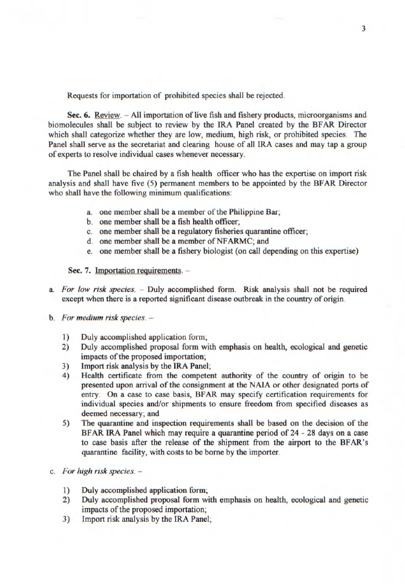Requests for importation of prohibited species shall be rejected.

Sec. 6. Review. - All importation of live fish and fishery products, microorganisms and biomolecules shall be subject to review by the IRA Panel created by the BFAR Director which shall categorize whether they are low, medium, high risk, or prohibited species. The Panel shall serve as the secretariat and clearing house of all IRA cases and may tap a group of experts to resolve individual cases whenever necessary.

The Panel shall be chaired by a fish health officer who has the expertise on import risk analysis and shall have five *(5)* permanent members to be appointed by the BFAR Director who shall have the following minimum qualifications:

- a. one member shall be a member of the Philippine Bar;
- b, one member shall be a fish health officer;
- c. one member shall be a regulatory fisheries quarantine officer;
- d. one member shall be a member of NFARMC; and
- e. one member shall be a fishery biologist (on call depending on this expertise)

Sec. 7. Importation requirements. -

- a. *For low risk species. Duly* accomplished form. Risk analysis shall not be required except when there is a reported significant disease outbreak in the country of origin.
- b. *For medium risk species.* 
	- 1) Duly accomplished application form;
	- 2) Duly accomplished proposal form with emphasis on health, ecological and genetic impacts of the proposed importation;
	- 3) Import risk analysis by the IRA Panel;
	- 4) Health certificate from the competent authority of the country of origin to be presented upon arrival of the consignment at the NAIA or other designated ports of entry. On a case to case basis, BFAR may specify certification requirements for individual species and/or shipments to ensure freedom from specified diseases as deemed necessary; and
	- 5) The quarantine and inspection requirements shall be based on the decision of the BFAR IRA Panel which may require a quarantine period of 24 - 28 days on a case to case basis after the release of the shipment from the airport to the BFAR's quarantine facility, with costs to be borne by the importer.
- c. *For high risk species.* 
	- I) Duly accomplished application *form;*
	- 2) Duly accomplished proposal form with emphasis on health, ecological and genetic impacts of the proposed importation;
	- 3) Import risk analysis by the IRA Panel;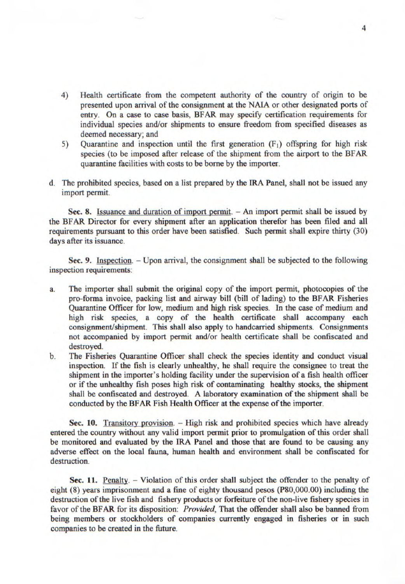- 4) Health certificate from the competent authority of the country of origin to be presented upon arrival of the consignment at the NALA or other designated ports of entry. On a case to case basis, BFAR may specify certification requirements for individual species and/or shipments to ensure freedom from specified diseases as deemed necessary; and
- 5) Quarantine and inspection until the first generation (F1) offspring for high risk species (to be imposed after release of the shipment from the airport to the BFAR quarantine facilities with costs to be borne by the importer.
- d. The prohibited species, based on a list prepared by the IRA Panel, shall not be issued any import permit.

Sec. 8. Issuance and duration of import permit. - An import permit shall be issued by the BFAR Director for every shipment after an application therefor has been filed and all requirements pursuant to this order have been satisfied. Such permit shall expire thirty (30) days after its issuance.

Sec. 9. Inspection. - Upon arrival, the consignment shall be subjected to the following inspection requirements:

- a. The importer shall submit the original copy of the import permit, photocopies of the pro-forma invoice, packing list and airway bill (bill of lading) to the BFAR Fisheries Quarantine Officer for low, medium and high risk species. In the case of medium and high risk species, a copy of the health certificate shall accompany each consignment/shipment. This shall also apply to handcarried shipments. Consignments not accompanied by import permit and/or health certificate shall be confiscated and destroyed.
- b. The Fisheries Quarantine Officer shall check the species identity and conduct visual inspection. If the fish is clearly unhealthy, he shall require the consignee to treat the shipment in the importer's holding facility under the supervision of a fish health officer or if the unhealthy fish poses high risk of contaminating healthy stocks, the shipment shall be confiscated and destroyed. A laboratory examination of the shipment shall be conducted by the BFAR Fish Health Officer at the expense of the importer.

Sec. 10. Transitory provision. - High risk and prohibited species which have already entered the country without any valid import permit prior to promulgation of this order shall be monitored and evaluated by the IRA Panel and those that are found to be causing any adverse effect on the local fauna, human health and environment shall be confiscated for destruction.

**Sec. 11.** Penalty. - Violation of this order shall subject the offender to the penalty of eight (8) years imprisonment and a fine of eighty thousand pesos (P80,000.00) including the destruction of the live fish and fishery products or forfeiture of the non-live fishery species in favor of the BFAR for its disposition: *Provided,* That the offender shall also be banned from being members or stockholders of companies currently engaged in fisheries or in such companies to be created in the future.